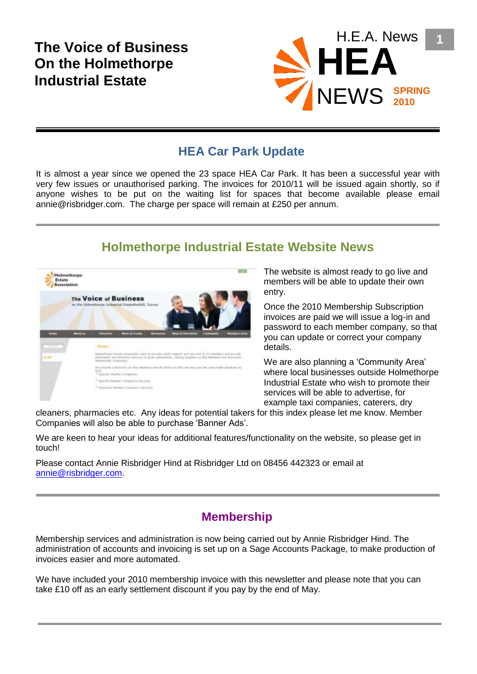# **The Voice of Business On the Holmethorpe Industrial Estate**



### **HEA Car Park Update**

It is almost a year since we opened the 23 space HEA Car Park. It has been a successful year with very few issues or unauthorised parking. The invoices for 2010/11 will be issued again shortly, so if anyone wishes to be put on the waiting list for spaces that become available please email annie@risbridger.com. The charge per space will remain at £250 per annum.

## **Holmethorpe Industrial Estate Website News**



The website is almost ready to go live and members will be able to update their own entry.

Once the 2010 Membership Subscription invoices are paid we will issue a log-in and password to each member company, so that you can update or correct your company details.

We are also planning a 'Community Area' where local businesses outside Holmethorpe Industrial Estate who wish to promote their services will be able to advertise, for example taxi companies, caterers, dry

cleaners, pharmacies etc. Any ideas for potential takers for this index please let me know. Member Companies will also be able to purchase 'Banner Ads'.

We are keen to hear your ideas for additional features/functionality on the website, so please get in touch!

Please contact Annie Risbridger Hind at Risbridger Ltd on 08456 442323 or email at [annie@risbridger.com.](mailto:annie@risbridger.com)

#### **Membership**

Membership services and administration is now being carried out by Annie Risbridger Hind. The administration of accounts and invoicing is set up on a Sage Accounts Package, to make production of invoices easier and more automated.

We have included your 2010 membership invoice with this newsletter and please note that you can take £10 off as an early settlement discount if you pay by the end of May.